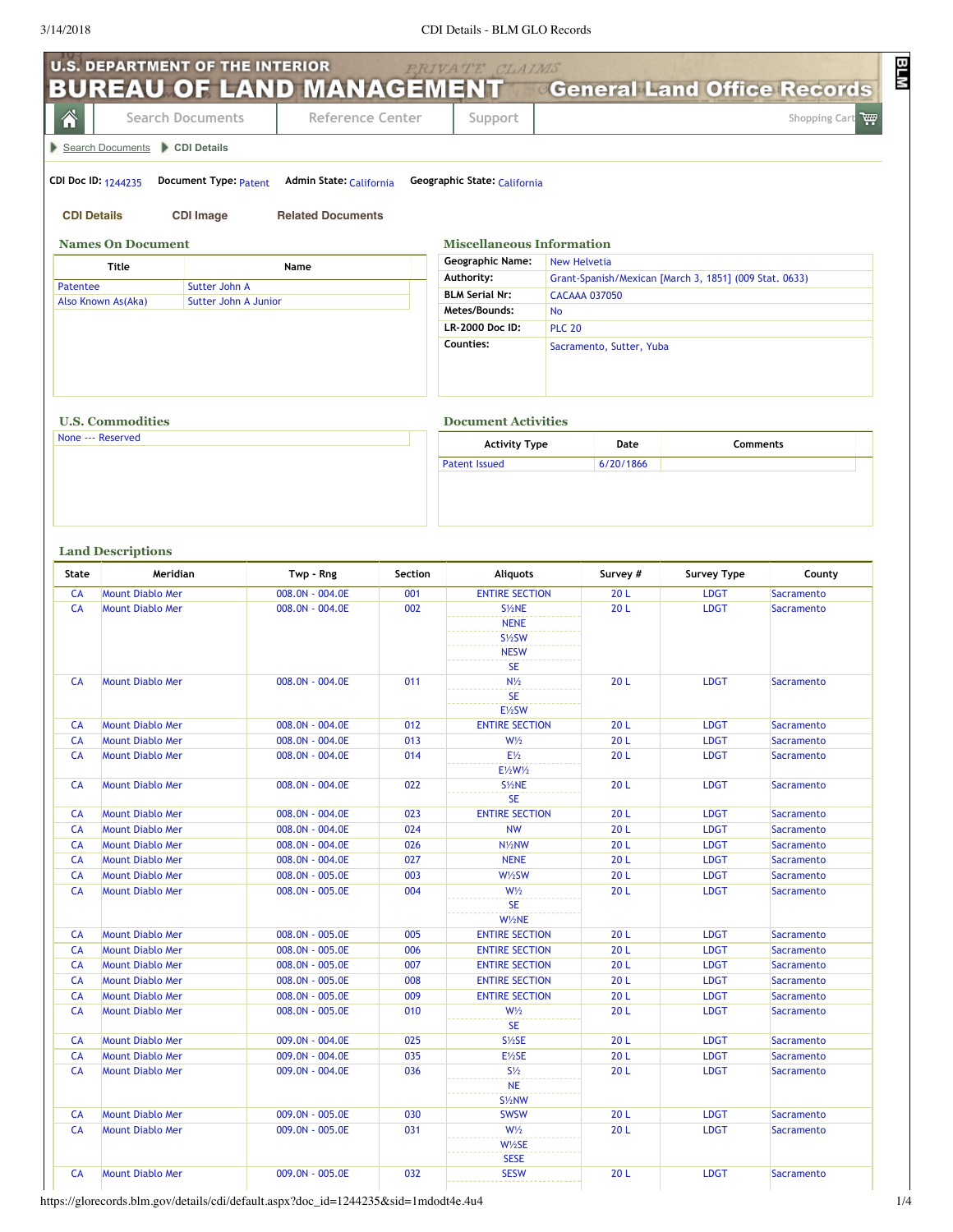## 3/14/2018 CDI Details - BLM GLO Records

|                    | <b>U.S. DEPARTMENT OF THE INTERIOR</b><br><b>BUREAU OF LAND MANAGEMENT</b> |                                    |            | PRIVATE CLAIMS                                                           | <b>General Land Office Records</b>                     |                            |                          |  |
|--------------------|----------------------------------------------------------------------------|------------------------------------|------------|--------------------------------------------------------------------------|--------------------------------------------------------|----------------------------|--------------------------|--|
| 솎                  | <b>Search Documents</b>                                                    | Reference Center                   |            | Support                                                                  |                                                        |                            | Shopping Cart            |  |
|                    | Search Documents CDI Details                                               |                                    |            |                                                                          |                                                        |                            |                          |  |
|                    | CDI Doc ID: 1244235<br>Document Type: Patent                               | Admin State: California            |            | Geographic State: California                                             |                                                        |                            |                          |  |
| <b>CDI Details</b> | <b>CDI Image</b>                                                           | <b>Related Documents</b>           |            |                                                                          |                                                        |                            |                          |  |
|                    | <b>Names On Document</b>                                                   |                                    |            | <b>Miscellaneous Information</b>                                         |                                                        |                            |                          |  |
|                    | <b>Title</b>                                                               | Name                               |            | <b>Geographic Name:</b>                                                  | <b>New Helvetia</b>                                    |                            |                          |  |
| Patentee           | Sutter John A                                                              |                                    |            | Authority:                                                               | Grant-Spanish/Mexican [March 3, 1851] (009 Stat. 0633) |                            |                          |  |
|                    | Sutter John A Junior<br>Also Known As(Aka)                                 |                                    |            | <b>BLM Serial Nr:</b><br>Metes/Bounds:                                   | <b>CACAAA 037050</b>                                   |                            |                          |  |
|                    |                                                                            |                                    |            | No<br>LR-2000 Doc ID:<br><b>PLC 20</b>                                   |                                                        |                            |                          |  |
|                    |                                                                            |                                    |            | Counties:                                                                | Sacramento, Sutter, Yuba                               |                            |                          |  |
|                    | <b>U.S. Commodities</b>                                                    |                                    |            | <b>Document Activities</b>                                               |                                                        |                            |                          |  |
|                    | None --- Reserved                                                          |                                    |            | <b>Activity Type</b>                                                     | Date                                                   |                            | Comments                 |  |
|                    |                                                                            |                                    |            | <b>Patent Issued</b>                                                     | 6/20/1866                                              |                            |                          |  |
| State              | <b>Land Descriptions</b><br>Meridian                                       | Twp - Rng                          | Section    | <b>Aliquots</b>                                                          | Survey #                                               | <b>Survey Type</b>         | County                   |  |
| <b>CA</b>          | <b>Mount Diablo Mer</b>                                                    | 008.0N - 004.0E                    | 001        | <b>ENTIRE SECTION</b>                                                    | 20L                                                    | <b>LDGT</b>                | Sacramento               |  |
| <b>CA</b>          | <b>Mount Diablo Mer</b>                                                    | 008.0N - 004.0E                    | 002        | S1/2NE<br><b>NENE</b><br>S1/ <sub>2</sub> SW<br><b>NESW</b><br><b>SE</b> | 20L                                                    | <b>LDGT</b>                | Sacramento               |  |
| <b>CA</b>          | Mount Diablo Mer                                                           | 008.0N - 004.0E                    | 011        | $N\frac{1}{2}$<br><b>SE</b><br>E1/2SW                                    | 20L                                                    | <b>LDGT</b>                | <b>Sacramento</b>        |  |
| <b>CA</b>          | <b>Mount Diablo Mer</b>                                                    | 008.0N - 004.0E                    | 012        | <b>ENTIRE SECTION</b>                                                    | 20L                                                    | <b>LDGT</b>                | Sacramento               |  |
| <b>CA</b>          | <b>Mount Diablo Mer</b>                                                    | 008.0N - 004.0E                    | 013        | $W\frac{1}{2}$                                                           | 20L                                                    | <b>LDGT</b>                | Sacramento               |  |
| CA                 | <b>Mount Diablo Mer</b>                                                    | $008.0N - 004.0E$                  | 014        | $E\frac{1}{2}$<br>E1/2W1/2                                               | 20 <sub>L</sub>                                        | <b>LDGT</b>                | Sacramento               |  |
| CA                 | <b>Mount Diablo Mer</b>                                                    | 008.0N - 004.0E                    | 022        | S <sup>1/2</sup> NE<br><b>SE</b>                                         | 20L                                                    | <b>LDGT</b>                | Sacramento               |  |
| CA                 | <b>Mount Diablo Mer</b>                                                    | 008.0N - 004.0E                    | 023        | <b>ENTIRE SECTION</b>                                                    | 20L                                                    | <b>LDGT</b>                | Sacramento               |  |
| CA                 | <b>Mount Diablo Mer</b>                                                    | 008.0N - 004.0E                    | 024<br>026 | <b>NW</b>                                                                | 20L<br>20L                                             | <b>LDGT</b><br><b>LDGT</b> | Sacramento               |  |
| CA<br>CA           | <b>Mount Diablo Mer</b><br><b>Mount Diablo Mer</b>                         | 008.0N - 004.0E<br>008.0N - 004.0E | 027        | N <sub>1/2</sub> NW<br><b>NENE</b>                                       | 20L                                                    | <b>LDGT</b>                | Sacramento<br>Sacramento |  |
| CA                 | <b>Mount Diablo Mer</b>                                                    | 008.0N - 005.0E                    | 003        | W1/2SW                                                                   | 20L                                                    | <b>LDGT</b>                | Sacramento               |  |
| <b>CA</b>          | <b>Mount Diablo Mer</b>                                                    | 008.0N - 005.0E                    | 004        | $W\frac{1}{2}$<br><b>SE</b>                                              | 20L                                                    | <b>LDGT</b>                | Sacramento               |  |
|                    |                                                                            |                                    |            | W1/2NE                                                                   |                                                        |                            |                          |  |
| CA                 | <b>Mount Diablo Mer</b>                                                    | 008.0N - 005.0E                    | 005        | <b>ENTIRE SECTION</b>                                                    | 20L                                                    | <b>LDGT</b>                | Sacramento               |  |
| <b>CA</b>          | <b>Mount Diablo Mer</b>                                                    | 008.0N - 005.0E                    | 006        | <b>ENTIRE SECTION</b>                                                    | 20L                                                    | <b>LDGT</b>                | Sacramento               |  |
| CA<br>CA           | <b>Mount Diablo Mer</b><br><b>Mount Diablo Mer</b>                         | 008.0N - 005.0E                    | 007<br>008 | <b>ENTIRE SECTION</b><br><b>ENTIRE SECTION</b>                           | 20L<br>20L                                             | <b>LDGT</b><br><b>LDGT</b> | Sacramento               |  |
| CA                 | <b>Mount Diablo Mer</b>                                                    | 008.0N - 005.0E<br>008.0N - 005.0E | 009        | <b>ENTIRE SECTION</b>                                                    | 20L                                                    | <b>LDGT</b>                | Sacramento<br>Sacramento |  |
| CA                 | <b>Mount Diablo Mer</b>                                                    | 008.0N - 005.0E                    | 010        | $W\frac{1}{2}$                                                           | 20L                                                    | <b>LDGT</b>                | Sacramento               |  |
| <b>CA</b>          | <b>Mount Diablo Mer</b>                                                    | 009.0N - 004.0E                    | 025        | <b>SE</b><br>S1/2SE                                                      | 20L                                                    | <b>LDGT</b>                | Sacramento               |  |
| CA                 | <b>Mount Diablo Mer</b>                                                    | 009.0N - 004.0E                    | 035        | $E\frac{1}{2}SE$                                                         | 20L                                                    | <b>LDGT</b>                | Sacramento               |  |
| <b>CA</b>          | <b>Mount Diablo Mer</b>                                                    | 009.0N - 004.0E                    | 036        | $S\frac{1}{2}$<br><b>NE</b><br>S <sup>1/2</sup> NW                       | 20L                                                    | <b>LDGT</b>                | Sacramento               |  |
| CA                 | <b>Mount Diablo Mer</b>                                                    | 009.0N - 005.0E                    | 030        | <b>SWSW</b>                                                              | 20L                                                    | <b>LDGT</b>                | Sacramento               |  |
| CA                 | <b>Mount Diablo Mer</b>                                                    | 009.0N - 005.0E                    | 031        | $W\frac{1}{2}$<br>$W\frac{1}{2}SE$                                       | 20L                                                    | <b>LDGT</b>                | <b>Sacramento</b>        |  |
| CA                 | <b>Mount Diablo Mer</b>                                                    | 009.0N - 005.0E                    | 032        | <b>SESE</b><br><b>SESW</b>                                               | 20L                                                    | <b>LDGT</b>                | Sacramento               |  |

https://glorecords.blm.gov/details/cdi/default.aspx?doc\_id=1244235&sid=1mdodt4e.4u4 1/4

BLM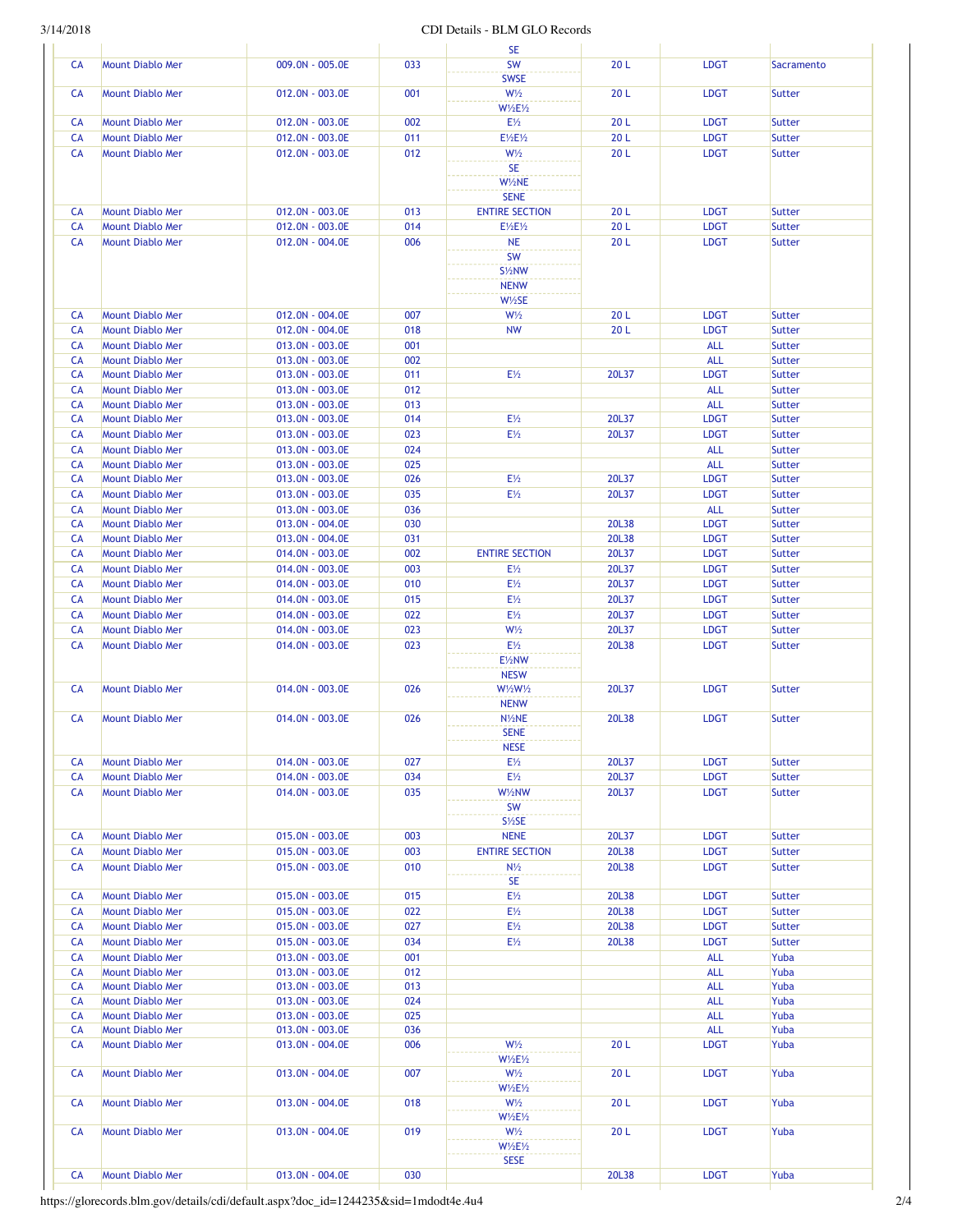## 3/14/2018 CDI Details - BLM GLO Records

|                 |                                                    |                                    |            | <b>SE</b>                                    |                 |                          |                                |
|-----------------|----------------------------------------------------|------------------------------------|------------|----------------------------------------------|-----------------|--------------------------|--------------------------------|
| <b>CA</b>       | <b>Mount Diablo Mer</b>                            | 009.0N - 005.0E                    | 033        | <b>SW</b>                                    | 20L             | <b>LDGT</b>              | Sacramento                     |
|                 |                                                    |                                    |            | <b>SWSE</b>                                  |                 |                          |                                |
| CA              | <b>Mount Diablo Mer</b>                            | 012.0N - 003.0E                    | 001        | $W\frac{1}{2}$<br>$W\frac{1}{2}E\frac{1}{2}$ | 20L             | <b>LDGT</b>              | <b>Sutter</b>                  |
| CA              | <b>Mount Diablo Mer</b>                            | 012.0N - 003.0E                    | 002        | $E\frac{1}{2}$                               | 20 <sub>L</sub> | <b>LDGT</b>              | <b>Sutter</b>                  |
| CA              | <b>Mount Diablo Mer</b>                            | 012.0N - 003.0E                    | 011        | E1/2E1/2                                     | 20L             | <b>LDGT</b>              | <b>Sutter</b>                  |
| CA              | <b>Mount Diablo Mer</b>                            | 012.0N - 003.0E                    | 012        | $W\frac{1}{2}$                               | 20L             | <b>LDGT</b>              | <b>Sutter</b>                  |
|                 |                                                    |                                    |            | <b>SE</b>                                    |                 |                          |                                |
|                 |                                                    |                                    |            | W1/2NE                                       |                 |                          |                                |
| CA              | <b>Mount Diablo Mer</b>                            | 012.0N - 003.0E                    | 013        | <b>SENE</b><br><b>ENTIRE SECTION</b>         | 20 <sub>L</sub> | <b>LDGT</b>              | Sutter                         |
| <b>CA</b>       | <b>Mount Diablo Mer</b>                            | 012.0N - 003.0E                    | 014        | E1/2E1/2                                     | 20L             | <b>LDGT</b>              | <b>Sutter</b>                  |
| CA              | <b>Mount Diablo Mer</b>                            | 012.0N - 004.0E                    | 006        | <b>NE</b>                                    | 20L             | <b>LDGT</b>              | <b>Sutter</b>                  |
|                 |                                                    |                                    |            | SW                                           |                 |                          |                                |
|                 |                                                    |                                    |            | S <sup>1/2</sup> NW                          |                 |                          |                                |
|                 |                                                    |                                    |            | <b>NENW</b>                                  |                 |                          |                                |
|                 |                                                    |                                    |            | W1/2SE                                       |                 |                          |                                |
| CA              | <b>Mount Diablo Mer</b>                            | 012.0N - 004.0E                    | 007        | $W\frac{1}{2}$                               | 20L             | <b>LDGT</b>              | Sutter                         |
| <b>CA</b>       | <b>Mount Diablo Mer</b>                            | 012.0N - 004.0E                    | 018        | <b>NW</b>                                    | 20L             | <b>LDGT</b>              | <b>Sutter</b>                  |
| <b>CA</b><br>CA | <b>Mount Diablo Mer</b>                            | 013.0N - 003.0E                    | 001<br>002 |                                              |                 | <b>ALL</b><br><b>ALL</b> | <b>Sutter</b>                  |
| CA              | Mount Diablo Mer<br>Mount Diablo Mer               | 013.0N - 003.0E<br>013.0N - 003.0E | 011        | $E\frac{1}{2}$                               | 20L37           | <b>LDGT</b>              | <b>Sutter</b><br><b>Sutter</b> |
| CA              | Mount Diablo Mer                                   | 013.0N - 003.0E                    | 012        |                                              |                 | <b>ALL</b>               | <b>Sutter</b>                  |
| <b>CA</b>       | <b>Mount Diablo Mer</b>                            | 013.0N - 003.0E                    | 013        |                                              |                 | <b>ALL</b>               | <b>Sutter</b>                  |
| <b>CA</b>       | <b>Mount Diablo Mer</b>                            | 013.0N - 003.0E                    | 014        | E <sub>2</sub>                               | 20L37           | <b>LDGT</b>              | <b>Sutter</b>                  |
| CA              | Mount Diablo Mer                                   | 013.0N - 003.0E                    | 023        | $E\frac{1}{2}$                               | 20L37           | <b>LDGT</b>              | <b>Sutter</b>                  |
| CA              | <b>Mount Diablo Mer</b>                            | 013.0N - 003.0E                    | 024        |                                              |                 | <b>ALL</b>               | <b>Sutter</b>                  |
| CA              | <b>Mount Diablo Mer</b>                            | 013.0N - 003.0E                    | 025        |                                              |                 | <b>ALL</b>               | <b>Sutter</b>                  |
| CA              | <b>Mount Diablo Mer</b>                            | 013.0N - 003.0E                    | 026        | $E\frac{1}{2}$                               | 20L37           | <b>LDGT</b>              | <b>Sutter</b>                  |
| <b>CA</b>       | <b>Mount Diablo Mer</b>                            | 013.0N - 003.0E                    | 035        | $E\frac{1}{2}$                               | 20L37           | <b>LDGT</b>              | <b>Sutter</b>                  |
| CA<br><b>CA</b> | <b>Mount Diablo Mer</b><br><b>Mount Diablo Mer</b> | 013.0N - 003.0E<br>013.0N - 004.0E | 036<br>030 |                                              | 20L38           | ALL<br><b>LDGT</b>       | <b>Sutter</b><br><b>Sutter</b> |
| CA              | Mount Diablo Mer                                   | 013.0N - 004.0E                    | 031        |                                              | 20L38           | <b>LDGT</b>              | <b>Sutter</b>                  |
| CA              | Mount Diablo Mer                                   | 014.0N - 003.0E                    | 002        | <b>ENTIRE SECTION</b>                        | 20L37           | <b>LDGT</b>              | <b>Sutter</b>                  |
| <b>CA</b>       | <b>Mount Diablo Mer</b>                            | 014.0N - 003.0E                    | 003        | E <sub>2</sub>                               | 20L37           | <b>LDGT</b>              | <b>Sutter</b>                  |
| CA              | <b>Mount Diablo Mer</b>                            | 014.0N - 003.0E                    | 010        | $E\frac{1}{2}$                               | 20L37           | <b>LDGT</b>              | <b>Sutter</b>                  |
| CA              | Mount Diablo Mer                                   | 014.0N - 003.0E                    | 015        | E1/2                                         | 20L37           | <b>LDGT</b>              | <b>Sutter</b>                  |
| <b>CA</b>       | <b>Mount Diablo Mer</b>                            | 014.0N - 003.0E                    | 022        | E1/2                                         | 20L37           | <b>LDGT</b>              | <b>Sutter</b>                  |
| <b>CA</b>       | <b>Mount Diablo Mer</b>                            | 014.0N - 003.0E                    | 023        | $W\frac{1}{2}$                               | 20L37           | <b>LDGT</b>              | <b>Sutter</b>                  |
| <b>CA</b>       | Mount Diablo Mer                                   | 014.0N - 003.0E                    | 023        | E <sub>2</sub>                               | 20L38           | <b>LDGT</b>              | <b>Sutter</b>                  |
|                 |                                                    |                                    |            | E1/2NW                                       |                 |                          |                                |
| <b>CA</b>       | <b>Mount Diablo Mer</b>                            | 014.0N - 003.0E                    | 026        | <b>NESW</b><br>W1/2W1/2                      | 20L37           | <b>LDGT</b>              | <b>Sutter</b>                  |
|                 |                                                    |                                    |            | <b>NENW</b>                                  |                 |                          |                                |
| <b>CA</b>       | <b>Mount Diablo Mer</b>                            | 014.0N - 003.0E                    | 026        | N1/2NE                                       | 20L38           | <b>LDGT</b>              | Sutter                         |
|                 |                                                    |                                    |            | <b>SENE</b>                                  |                 |                          |                                |
|                 |                                                    |                                    |            | <b>NESE</b>                                  |                 |                          |                                |
| CA              | <b>Mount Diablo Mer</b>                            | 014.0N - 003.0E                    | 027        | $E\frac{1}{2}$                               | 20L37           | <b>LDGT</b>              | <b>Sutter</b>                  |
| CA              | <b>Mount Diablo Mer</b>                            | 014.0N - 003.0E                    | 034        | $E\frac{1}{2}$                               | 20L37           | <b>LDGT</b>              | <b>Sutter</b>                  |
| CA              | <b>Mount Diablo Mer</b>                            | 014.0N - 003.0E                    | 035        | W1/2NW                                       | 20L37           | <b>LDGT</b>              | <b>Sutter</b>                  |
|                 |                                                    |                                    |            | SW<br>$S\frac{1}{2}SE$                       |                 |                          |                                |
| CA              | Mount Diablo Mer                                   | 015.0N - 003.0E                    | 003        | <b>NENE</b>                                  | 20L37           | <b>LDGT</b>              | <b>Sutter</b>                  |
| CA              | <b>Mount Diablo Mer</b>                            | 015.0N - 003.0E                    | 003        | <b>ENTIRE SECTION</b>                        | 20L38           | <b>LDGT</b>              | <b>Sutter</b>                  |
| CA              | <b>Mount Diablo Mer</b>                            | 015.0N - 003.0E                    | 010        | $N\frac{1}{2}$                               | 20L38           | <b>LDGT</b>              | <b>Sutter</b>                  |
|                 |                                                    |                                    |            | <b>SE</b>                                    |                 |                          |                                |
| CA              | Mount Diablo Mer                                   | 015.0N - 003.0E                    | 015        | $E\frac{1}{2}$                               | 20L38           | <b>LDGT</b>              | <b>Sutter</b>                  |
| CA              | <b>Mount Diablo Mer</b>                            | 015.0N - 003.0E                    | 022        | $E\frac{1}{2}$                               | 20L38           | <b>LDGT</b>              | <b>Sutter</b>                  |
| CA              | Mount Diablo Mer                                   | 015.0N - 003.0E                    | 027        | $E\frac{1}{2}$                               | 20L38           | <b>LDGT</b>              | <b>Sutter</b>                  |
| CA              | Mount Diablo Mer                                   | 015.0N - 003.0E                    | 034        | $E\frac{1}{2}$                               | 20L38           | <b>LDGT</b>              | <b>Sutter</b>                  |
| CA              | Mount Diablo Mer                                   | 013.0N - 003.0E                    | 001        |                                              |                 | <b>ALL</b>               | Yuba                           |
| CA              | <b>Mount Diablo Mer</b>                            | 013.0N - 003.0E                    | 012        |                                              |                 | <b>ALL</b>               | Yuba                           |
| CA<br>CA        | Mount Diablo Mer<br>Mount Diablo Mer               | 013.0N - 003.0E<br>013.0N - 003.0E | 013<br>024 |                                              |                 | <b>ALL</b><br><b>ALL</b> | Yuba<br>Yuba                   |
| CA              | <b>Mount Diablo Mer</b>                            | 013.0N - 003.0E                    | 025        |                                              |                 | ALL                      | Yuba                           |
| CA              | <b>Mount Diablo Mer</b>                            | 013.0N - 003.0E                    | 036        |                                              |                 | <b>ALL</b>               | Yuba                           |
| CA              | <b>Mount Diablo Mer</b>                            | 013.0N - 004.0E                    | 006        | $W\frac{1}{2}$                               | 20L             | <b>LDGT</b>              | Yuba                           |
|                 |                                                    |                                    |            | $W\frac{1}{2}E\frac{1}{2}$                   |                 |                          |                                |
| CA              | <b>Mount Diablo Mer</b>                            | 013.0N - 004.0E                    | 007        | $W\frac{1}{2}$                               | 20 <sub>L</sub> | <b>LDGT</b>              | Yuba                           |
|                 |                                                    |                                    |            | $W\frac{1}{2}E\frac{1}{2}$                   |                 |                          |                                |
| CA              | <b>Mount Diablo Mer</b>                            | 013.0N - 004.0E                    | 018        | $W\frac{1}{2}$                               | 20L             | <b>LDGT</b>              | Yuba                           |
| CA              | <b>Mount Diablo Mer</b>                            | 013.0N - 004.0E                    | 019        | $W\frac{1}{2}E\frac{1}{2}$<br>$W\frac{1}{2}$ | 20L             | <b>LDGT</b>              | Yuba                           |
|                 |                                                    |                                    |            | $W\frac{1}{2}E\frac{1}{2}$                   |                 |                          |                                |
|                 |                                                    |                                    |            | <b>SESE</b>                                  |                 |                          |                                |
| CA              | <b>Mount Diablo Mer</b>                            | 013.0N - 004.0E                    | 030        |                                              | 20L38           | <b>LDGT</b>              | Yuba                           |
|                 |                                                    |                                    |            |                                              |                 |                          |                                |

https://glorecords.blm.gov/details/cdi/default.aspx?doc\_id=1244235&sid=1mdodt4e.4u4 2/4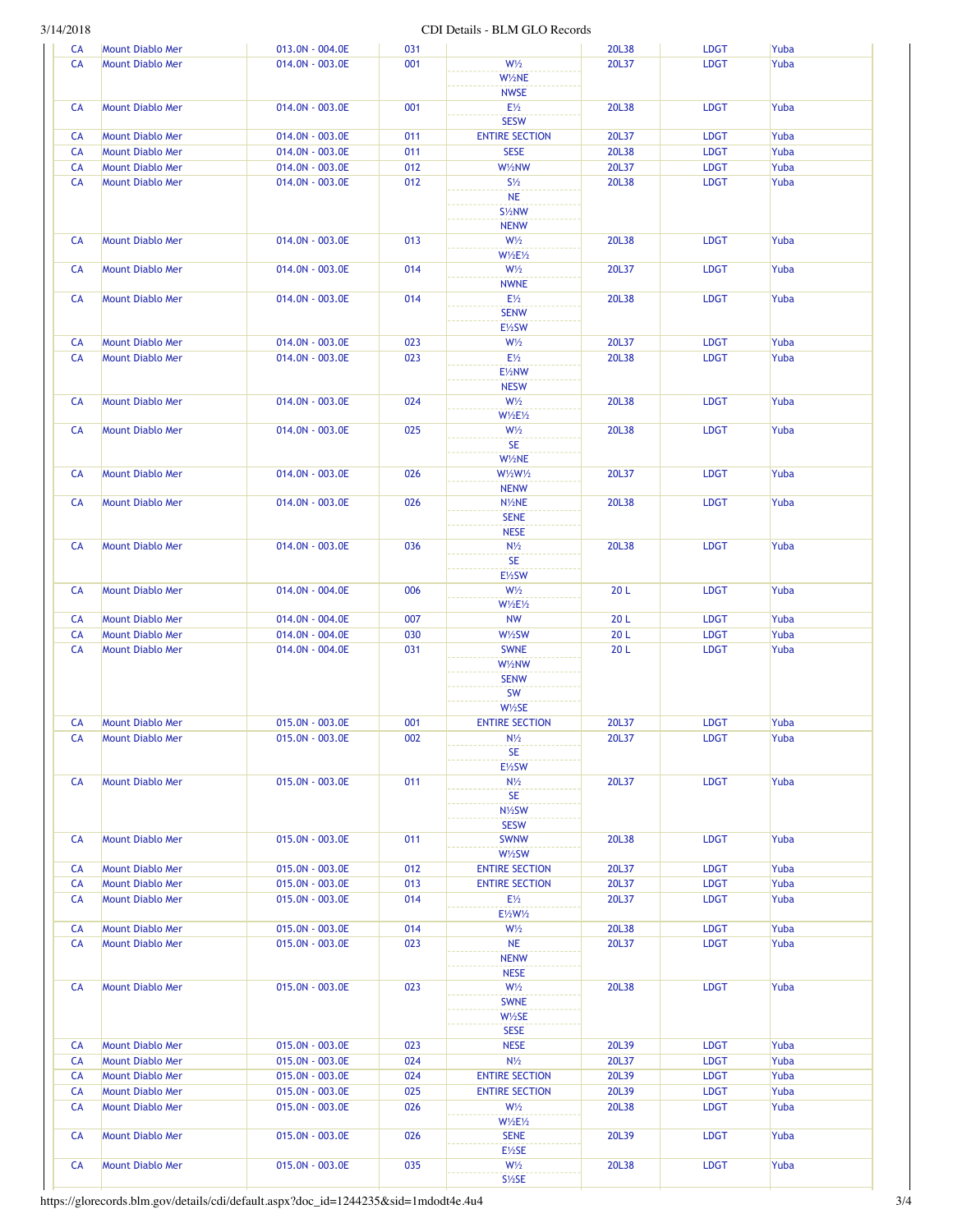## 3/14/2018 CDI Details - BLM GLO Records

| <b>CA</b> | <b>Mount Diablo Mer</b> | 013.0N - 004.0E | 031        |                                    | 20L38 | <b>LDGT</b> | Yuba         |
|-----------|-------------------------|-----------------|------------|------------------------------------|-------|-------------|--------------|
| CA        | <b>Mount Diablo Mer</b> | 014.0N - 003.0E | 001        | $W\frac{1}{2}$                     | 20L37 | <b>LDGT</b> | Yuba         |
|           |                         |                 |            | W1/2NE                             |       |             |              |
|           |                         |                 |            | <b>NWSE</b>                        |       |             |              |
| CA        | <b>Mount Diablo Mer</b> | 014.0N - 003.0E | 001        | $E\frac{1}{2}$                     | 20L38 | <b>LDGT</b> | Yuba         |
|           |                         |                 |            | <b>SESW</b>                        |       |             |              |
| CA        | Mount Diablo Mer        | 014.0N - 003.0E | 011        | <b>ENTIRE SECTION</b>              | 20L37 | <b>LDGT</b> | Yuba         |
| CA        | <b>Mount Diablo Mer</b> | 014.0N - 003.0E | 011        | <b>SESE</b>                        | 20L38 | <b>LDGT</b> | Yuba         |
| CA        | <b>Mount Diablo Mer</b> | 014.0N - 003.0E | 012        | W1/2NW                             | 20L37 | <b>LDGT</b> | Yuba         |
| CA        | <b>Mount Diablo Mer</b> | 014.0N - 003.0E | 012        | $S\frac{1}{2}$                     | 20L38 | <b>LDGT</b> | Yuba         |
|           |                         |                 |            | <b>NE</b>                          |       |             |              |
|           |                         |                 |            | S <sup>1/2</sup> NW                |       |             |              |
|           |                         |                 |            | <b>NENW</b>                        |       |             |              |
| CA        | <b>Mount Diablo Mer</b> | 014.0N - 003.0E | 013        | $W\frac{1}{2}$                     | 20L38 | <b>LDGT</b> | Yuba         |
|           |                         |                 |            | <b>W1/2E1/2</b>                    |       |             |              |
| CA        | <b>Mount Diablo Mer</b> | 014.0N - 003.0E | 014        | $W\frac{1}{2}$                     | 20L37 | <b>LDGT</b> | Yuba         |
|           |                         |                 |            | <b>NWNE</b>                        |       |             |              |
| CA        | <b>Mount Diablo Mer</b> | 014.0N - 003.0E | 014        | $E\frac{1}{2}$                     | 20L38 | <b>LDGT</b> | Yuba         |
|           |                         |                 |            | <b>SENW</b>                        |       |             |              |
|           |                         |                 |            | E1/2SW                             |       |             |              |
|           |                         |                 |            |                                    |       |             |              |
| CA        | <b>Mount Diablo Mer</b> | 014.0N - 003.0E | 023        | $W\frac{1}{2}$                     | 20L37 | <b>LDGT</b> | Yuba         |
| CA        | <b>Mount Diablo Mer</b> | 014.0N - 003.0E | 023        | $E\frac{1}{2}$                     | 20L38 | <b>LDGT</b> | Yuba         |
|           |                         |                 |            | E1/2NW                             |       |             |              |
|           |                         |                 |            | <b>NESW</b>                        |       |             |              |
| CA        | Mount Diablo Mer        | 014.0N - 003.0E | 024        | $W\frac{1}{2}$                     | 20L38 | <b>LDGT</b> | Yuba         |
|           |                         |                 |            | <b>W1/2E1/2</b>                    |       |             |              |
| CA        | <b>Mount Diablo Mer</b> | 014.0N - 003.0E | 025        | $W\frac{1}{2}$                     | 20L38 | <b>LDGT</b> | Yuba         |
|           |                         |                 |            | <b>SE</b>                          |       |             |              |
|           |                         |                 |            | W1/2NE                             |       |             |              |
| CA        | <b>Mount Diablo Mer</b> | 014.0N - 003.0E | 026        | W1/2W1/2                           | 20L37 | <b>LDGT</b> | Yuba         |
|           |                         |                 |            | <b>NENW</b>                        |       |             |              |
| CA        | <b>Mount Diablo Mer</b> | 014.0N - 003.0E | 026        | N <sub>/2</sub> NE                 | 20L38 | <b>LDGT</b> | Yuba         |
|           |                         |                 |            | <b>SENE</b>                        |       |             |              |
|           |                         |                 |            | <b>NESE</b>                        |       |             |              |
| CA        | <b>Mount Diablo Mer</b> | 014.0N - 003.0E | 036        | $N\frac{1}{2}$                     | 20L38 | <b>LDGT</b> | Yuba         |
|           |                         |                 |            | <b>SE</b>                          |       |             |              |
|           |                         |                 |            | E1/2SW                             |       |             |              |
| CA        | <b>Mount Diablo Mer</b> | 014.0N - 004.0E | 006        | $W\frac{1}{2}$                     | 20L   | <b>LDGT</b> | Yuba         |
|           |                         |                 |            | <b>W1/2E1/2</b>                    |       |             |              |
| CA        | <b>Mount Diablo Mer</b> | 014.0N - 004.0E | 007        | <b>NW</b>                          | 20L   | <b>LDGT</b> | Yuba         |
| CA        | Mount Diablo Mer        | 014.0N - 004.0E | 030        | W1/2SW                             | 20L   | <b>LDGT</b> |              |
|           | <b>Mount Diablo Mer</b> |                 | 031        | <b>SWNE</b>                        | 20L   | <b>LDGT</b> | Yuba<br>Yuba |
| CA        |                         | 014.0N - 004.0E |            | W1/2NW                             |       |             |              |
|           |                         |                 |            | <b>SENW</b>                        |       |             |              |
|           |                         |                 |            |                                    |       |             |              |
|           |                         |                 |            | <b>SW</b>                          |       |             |              |
|           |                         |                 |            | $W\frac{1}{2}SE$                   |       |             |              |
| CA        | <b>Mount Diablo Mer</b> | 015.0N - 003.0E | 001        | <b>ENTIRE SECTION</b>              | 20L37 | <b>LDGT</b> | Yuba         |
| <b>CA</b> | <b>Mount Diablo Mer</b> | 015.0N - 003.0E | <b>002</b> | $N\frac{1}{2}$                     | 20L37 | LDG I       | Yuba         |
|           |                         |                 |            | <b>SE</b>                          |       |             |              |
|           |                         |                 |            | E1/2SW                             |       |             |              |
| CA        | <b>Mount Diablo Mer</b> | 015.0N - 003.0E | 011        | $N\frac{1}{2}$                     | 20L37 | <b>LDGT</b> | Yuba         |
|           |                         |                 |            | <b>SE</b>                          |       |             |              |
|           |                         |                 |            | N1/2SW                             |       |             |              |
|           |                         |                 |            |                                    |       |             |              |
| CA        |                         |                 |            | <b>SESW</b>                        |       |             |              |
|           | Mount Diablo Mer        | 015.0N - 003.0E | 011        | <b>SWNW</b>                        | 20L38 | <b>LDGT</b> | Yuba         |
|           |                         |                 |            | W1/2SW                             |       |             |              |
| CA        | <b>Mount Diablo Mer</b> | 015.0N - 003.0E | 012        | <b>ENTIRE SECTION</b>              | 20L37 | <b>LDGT</b> | Yuba         |
|           |                         |                 |            | <b>ENTIRE SECTION</b>              | 20L37 | <b>LDGT</b> |              |
| CA        | Mount Diablo Mer        | 015.0N - 003.0E | 013        |                                    |       |             | Yuba         |
| CA        | <b>Mount Diablo Mer</b> | 015.0N - 003.0E | 014        | $E\frac{1}{2}$                     | 20L37 | <b>LDGT</b> | Yuba         |
|           |                         |                 |            | E1/2W1/2                           |       |             |              |
| CA        | <b>Mount Diablo Mer</b> | 015.0N - 003.0E | 014        | $W\frac{1}{2}$                     | 20L38 | <b>LDGT</b> | Yuba         |
| CA        | <b>Mount Diablo Mer</b> | 015.0N - 003.0E | 023        | <b>NE</b>                          | 20L37 | <b>LDGT</b> | Yuba         |
|           |                         |                 |            | <b>NENW</b>                        |       |             |              |
|           |                         |                 |            | <b>NESE</b>                        |       |             |              |
| CA        | Mount Diablo Mer        | 015.0N - 003.0E | 023        | $W\frac{1}{2}$                     | 20L38 | <b>LDGT</b> | Yuba         |
|           |                         |                 |            | <b>SWNE</b>                        |       |             |              |
|           |                         |                 |            | W1/2SE                             |       |             |              |
|           |                         |                 |            | <b>SESE</b>                        |       |             |              |
| CA        | Mount Diablo Mer        | 015.0N - 003.0E | 023        | <b>NESE</b>                        | 20L39 | <b>LDGT</b> | Yuba         |
| CA        | Mount Diablo Mer        | 015.0N - 003.0E | 024        | $N\frac{1}{2}$                     | 20L37 | <b>LDGT</b> | Yuba         |
| CA        | <b>Mount Diablo Mer</b> | 015.0N - 003.0E | 024        | <b>ENTIRE SECTION</b>              | 20L39 | <b>LDGT</b> | Yuba         |
| CA        | Mount Diablo Mer        | 015.0N - 003.0E | 025        | <b>ENTIRE SECTION</b>              | 20L39 | <b>LDGT</b> | Yuba         |
| CA        | <b>Mount Diablo Mer</b> | 015.0N - 003.0E | 026        | $W\frac{1}{2}$                     | 20L38 | <b>LDGT</b> | Yuba         |
|           |                         |                 |            |                                    |       |             |              |
|           |                         |                 |            | $W\frac{1}{2}E\frac{1}{2}$         |       |             |              |
| CA        | <b>Mount Diablo Mer</b> | 015.0N - 003.0E | 026        | <b>SENE</b>                        | 20L39 | <b>LDGT</b> | Yuba         |
|           |                         |                 |            | E1/2SE                             |       |             |              |
| CA        | Mount Diablo Mer        | 015.0N - 003.0E | 035        | $W\frac{1}{2}$<br>$S\frac{1}{2}SE$ | 20L38 | <b>LDGT</b> | Yuba         |